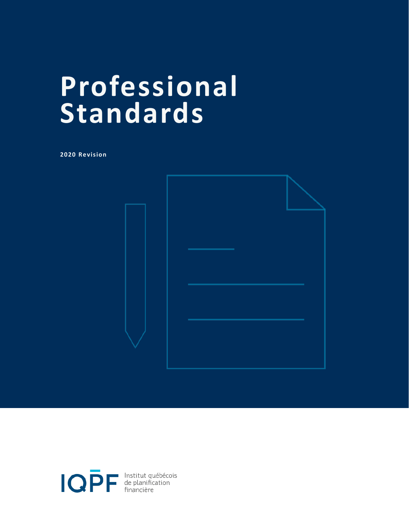# **Professional Standards**

**2020 Revision**



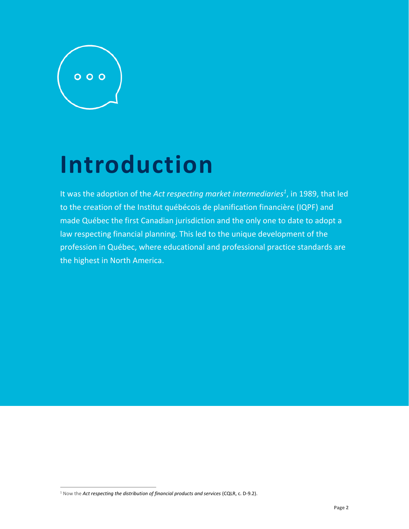

# **Introduction**

It was the adoption of the *Act respecting market intermediaries<sup>1</sup>* , in 1989, that led to the creation of the Institut québécois de planification financière (IQPF) and made Québec the first Canadian jurisdiction and the only one to date to adopt a law respecting financial planning. This led to the unique development of the profession in Québec, where educational and professional practice standards are the highest in North America.

<sup>&</sup>lt;sup>1</sup> Now the *Act respecting the distribution of financial products and services (CQLR, c. D-9.2).*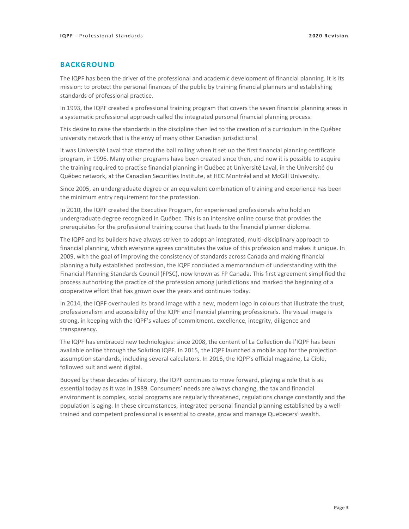#### **BACKGROUND**

The IQPF has been the driver of the professional and academic development of financial planning. It is its mission: to protect the personal finances of the public by training financial planners and establishing standards of professional practice.

In 1993, the IQPF created a professional training program that covers the seven financial planning areas in a systematic professional approach called the integrated personal financial planning process.

This desire to raise the standards in the discipline then led to the creation of a curriculum in the Québec university network that is the envy of many other Canadian jurisdictions!

It was Université Laval that started the ball rolling when it set up the first financial planning certificate program, in 1996. Many other programs have been created since then, and now it is possible to acquire the training required to practise financial planning in Québec at Université Laval, in the Université du Québec network, at the Canadian Securities Institute, at HEC Montréal and at McGill University.

Since 2005, an undergraduate degree or an equivalent combination of training and experience has been the minimum entry requirement for the profession.

In 2010, the IQPF created the Executive Program, for experienced professionals who hold an undergraduate degree recognized in Québec. This is an intensive online course that provides the prerequisites for the professional training course that leads to the financial planner diploma.

The IQPF and its builders have always striven to adopt an integrated, multi-disciplinary approach to financial planning, which everyone agrees constitutes the value of this profession and makes it unique. In 2009, with the goal of improving the consistency of standards across Canada and making financial planning a fully established profession, the IQPF concluded a memorandum of understanding with the Financial Planning Standards Council (FPSC), now known as FP Canada. This first agreement simplified the process authorizing the practice of the profession among jurisdictions and marked the beginning of a cooperative effort that has grown over the years and continues today.

In 2014, the IQPF overhauled its brand image with a new, modern logo in colours that illustrate the trust, professionalism and accessibility of the IQPF and financial planning professionals. The visual image is strong, in keeping with the IQPF's values of commitment, excellence, integrity, diligence and transparency.

The IQPF has embraced new technologies: since 2008, the content of La Collection de l'IQPF has been available online through the Solution IQPF. In 2015, the IQPF launched a mobile app for the projection assumption standards, including several calculators. In 2016, the IQPF's official magazine, La Cible, followed suit and went digital.

Buoyed by these decades of history, the IQPF continues to move forward, playing a role that is as essential today as it was in 1989. Consumers' needs are always changing, the tax and financial environment is complex, social programs are regularly threatened, regulations change constantly and the population is aging. In these circumstances, integrated personal financial planning established by a welltrained and competent professional is essential to create, grow and manage Quebecers' wealth.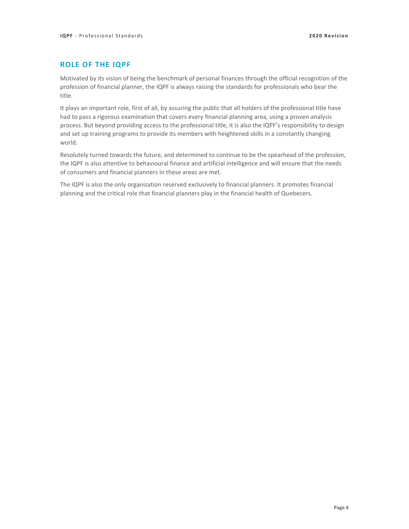# **ROLE OF THE IQPF**

Motivated by its vision of being the benchmark of personal finances through the official recognition of the profession of financial planner, the IQPF is always raising the standards for professionals who bear the title.

It plays an important role, first of all, by assuring the public that all holders of the professional title have had to pass a rigorous examination that covers every financial planning area, using a proven analysis process. But beyond providing access to the professional title, it is also the IQPF's responsibility to design and set up training programs to provide its members with heightened skills in a constantly changing world.

Resolutely turned towards the future, and determined to continue to be the spearhead of the profession, the IQPF is also attentive to behavioural finance and artificial intelligence and will ensure that the needs of consumers and financial planners in these areas are met.

The IQPF is also the only organization reserved exclusively to financial planners. It promotes financial planning and the critical role that financial planners play in the financial health of Quebecers.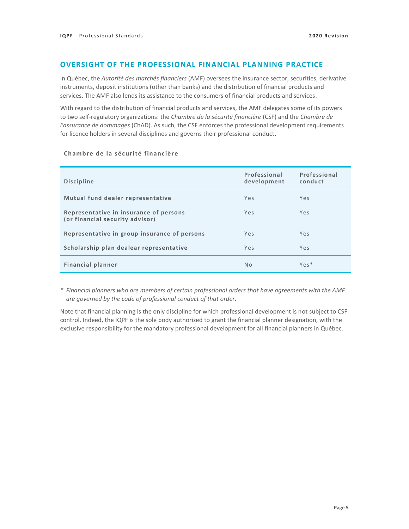## **OVERSIGHT OF THE PROFESSIONAL FINANCIAL PLANNING PRACTICE**

In Québec, the *Autorité des marchés financiers* (AMF) oversees the insurance sector, securities, derivative instruments, deposit institutions (other than banks) and the distribution of financial products and services. The AMF also lends its assistance to the consumers of financial products and services.

With regard to the distribution of financial products and services, the AMF delegates some of its powers to two self-regulatory organizations: the *Chambre de la sécurité financière* (CSF) and the *Chambre de l'assurance de dommages* (ChAD). As such, the CSF enforces the professional development requirements for licence holders in several disciplines and governs their professional conduct.

| <b>Discipline</b>                                                         | Professional<br>development | Professional<br>conduct |
|---------------------------------------------------------------------------|-----------------------------|-------------------------|
| Mutual fund dealer representative                                         | Yes                         | Yes                     |
| Representative in insurance of persons<br>(or financial security advisor) | Yes                         | Yes                     |
| Representative in group insurance of persons                              | Yes                         | Yes                     |
| Scholarship plan dealear representative                                   | Yes                         | Yes                     |
| <b>Financial planner</b>                                                  | N <sub>o</sub>              | $Yes*$                  |

#### **Chambre de la sécurité financièr e**

*\* Financial planners who are members of certain professional orders that have agreements with the AMF are governed by the code of professional conduct of that order.* 

Note that financial planning is the only discipline for which professional development is not subject to CSF control. Indeed, the IQPF is the sole body authorized to grant the financial planner designation, with the exclusive responsibility for the mandatory professional development for all financial planners in Québec.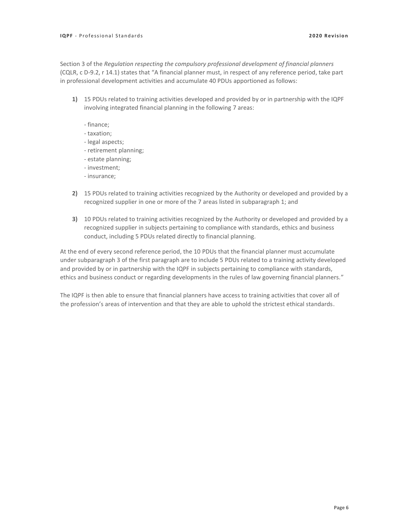Section 3 of the *Regulation respecting the compulsory professional development of financial planners* (CQLR, c D-9.2, r 14.1) states that "A financial planner must, in respect of any reference period, take part in professional development activities and accumulate 40 PDUs apportioned as follows:

- **1)** 15 PDUs related to training activities developed and provided by or in partnership with the IQPF involving integrated financial planning in the following 7 areas:
	- finance;
	- taxation;
	- legal aspects;
	- retirement planning;
	- estate planning;
	- investment;
	- insurance;
- **2)** 15 PDUs related to training activities recognized by the Authority or developed and provided by a recognized supplier in one or more of the 7 areas listed in subparagraph 1; and
- **3)** 10 PDUs related to training activities recognized by the Authority or developed and provided by a recognized supplier in subjects pertaining to compliance with standards, ethics and business conduct, including 5 PDUs related directly to financial planning.

At the end of every second reference period, the 10 PDUs that the financial planner must accumulate under subparagraph 3 of the first paragraph are to include 5 PDUs related to a training activity developed and provided by or in partnership with the IQPF in subjects pertaining to compliance with standards, ethics and business conduct or regarding developments in the rules of law governing financial planners."

The IQPF is then able to ensure that financial planners have access to training activities that cover all of the profession's areas of intervention and that they are able to uphold the strictest ethical standards.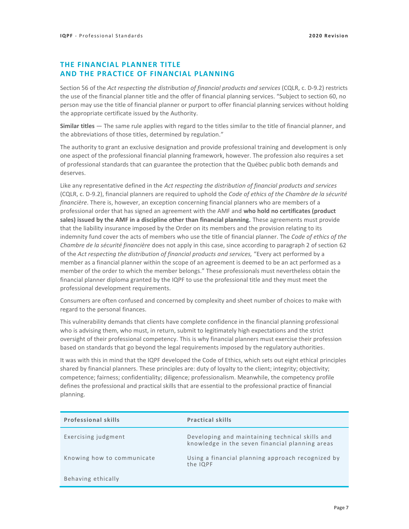# **THE FINANCIAL PLANNER TITLE AND THE PRACTICE OF FINANCIAL PLANNING**

Section 56 of the *Act respecting the distribution of financial products and services* (CQLR, c. D-9.2) restricts the use of the financial planner title and the offer of financial planning services. "Subject to section 60, no person may use the title of financial planner or purport to offer financial planning services without holding the appropriate certificate issued by the Authority.

**Similar titles** — The same rule applies with regard to the titles similar to the title of financial planner, and the abbreviations of those titles, determined by regulation."

The authority to grant an exclusive designation and provide professional training and development is only one aspect of the professional financial planning framework, however. The profession also requires a set of professional standards that can guarantee the protection that the Québec public both demands and deserves.

Like any representative defined in the *Act respecting the distribution of financial products and services*  (CQLR, c. D-9.2), financial planners are required to uphold the *Code of ethics of the Chambre de la sécurité financière*. There is, however, an exception concerning financial planners who are members of a professional order that has signed an agreement with the AMF and **who hold no certificates (product sales) issued by the AMF in a discipline other than financial planning.** These agreements must provide that the liability insurance imposed by the Order on its members and the provision relating to its indemnity fund cover the acts of members who use the title of financial planner. The *Code of ethics of the Chambre de la sécurité financière* does not apply in this case, since according to paragraph 2 of section 62 of the Act respecting the distribution of financial products and services, "Every act performed by a member as a financial planner within the scope of an agreement is deemed to be an act performed as a member of the order to which the member belongs." These professionals must nevertheless obtain the financial planner diploma granted by the IQPF to use the professional title and they must meet the professional development requirements.

Consumers are often confused and concerned by complexity and sheet number of choices to make with regard to the personal finances.

This vulnerability demands that clients have complete confidence in the financial planning professional who is advising them, who must, in return, submit to legitimately high expectations and the strict oversight of their professional competency. This is why financial planners must exercise their profession based on standards that go beyond the legal requirements imposed by the regulatory authorities.

It was with this in mind that the IQPF developed the Code of Ethics, which sets out eight ethical principles shared by financial planners. These principles are: duty of loyalty to the client; integrity; objectivity; competence; fairness; confidentiality; diligence; professionalism. Meanwhile, the competency profile defines the professional and practical skills that are essential to the professional practice of financial planning.

| <b>Professional skills</b> | <b>Practical skills</b>                                                                            |
|----------------------------|----------------------------------------------------------------------------------------------------|
| Exercising judgment        | Developing and maintaining technical skills and<br>knowledge in the seven financial planning areas |
| Knowing how to communicate | Using a financial planning approach recognized by<br>the IQPF                                      |
| Behaving ethically         |                                                                                                    |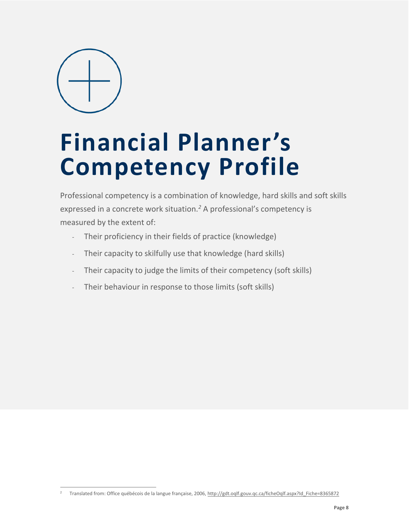

# **Financial Planner's Competency Profile**

Professional competency is a combination of knowledge, hard skills and soft skills expressed in a concrete work situation.*<sup>2</sup>* A professional's competency is measured by the extent of:

- Their proficiency in their fields of practice (knowledge)
- Their capacity to skilfully use that knowledge (hard skills)
- Their capacity to judge the limits of their competency (soft skills)
- Their behaviour in response to those limits (soft skills)

<sup>&</sup>lt;sup>2</sup> Translated from: Office québécois de la langue française, 2006, http://gdt.oqlf.gouv.qc.ca/ficheOqlf.aspx?Id Fiche=8365872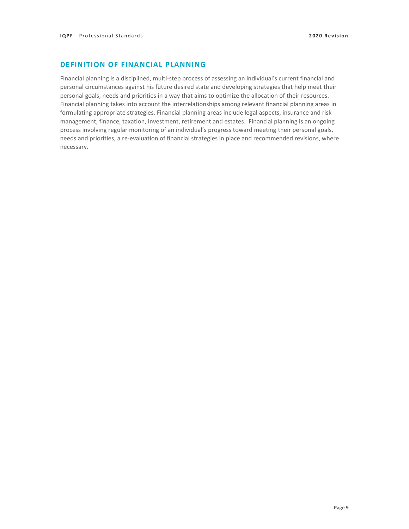# **DEFINITION OF FINANCIAL PLANNING**

Financial planning is a disciplined, multi-step process of assessing an individual's current financial and personal circumstances against his future desired state and developing strategies that help meet their personal goals, needs and priorities in a way that aims to optimize the allocation of their resources. Financial planning takes into account the interrelationships among relevant financial planning areas in formulating appropriate strategies. Financial planning areas include legal aspects, insurance and risk management, finance, taxation, investment, retirement and estates. Financial planning is an ongoing process involving regular monitoring of an individual's progress toward meeting their personal goals, needs and priorities, a re-evaluation of financial strategies in place and recommended revisions, where necessary.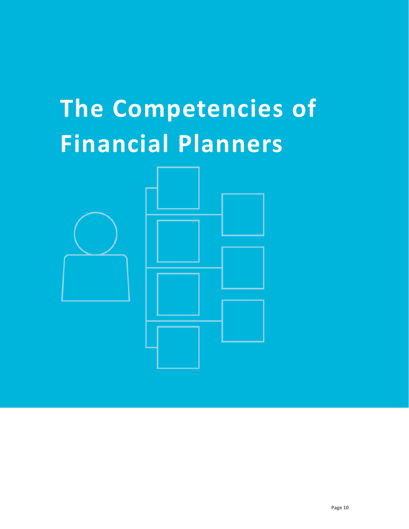# **The Competencies of Financial Planners**

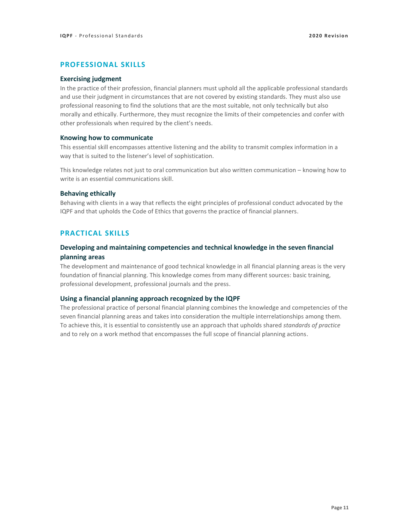#### **PROFESSIONAL SKILLS**

#### **Exercising judgment**

In the practice of their profession, financial planners must uphold all the applicable professional standards and use their judgment in circumstances that are not covered by existing standards. They must also use professional reasoning to find the solutions that are the most suitable, not only technically but also morally and ethically. Furthermore, they must recognize the limits of their competencies and confer with other professionals when required by the client's needs.

#### **Knowing how to communicate**

This essential skill encompasses attentive listening and the ability to transmit complex information in a way that is suited to the listener's level of sophistication.

This knowledge relates not just to oral communication but also written communication – knowing how to write is an essential communications skill.

#### **Behaving ethically**

Behaving with clients in a way that reflects the eight principles of professional conduct advocated by the IQPF and that upholds the Code of Ethics that governs the practice of financial planners.

# **PRACTICAL SKILLS**

## **Developing and maintaining competencies and technical knowledge in the seven financial planning areas**

The development and maintenance of good technical knowledge in all financial planning areas is the very foundation of financial planning. This knowledge comes from many different sources: basic training, professional development, professional journals and the press.

#### **Using a financial planning approach recognized by the IQPF**

The professional practice of personal financial planning combines the knowledge and competencies of the seven financial planning areas and takes into consideration the multiple interrelationships among them. To achieve this, it is essential to consistently use an approach that upholds shared *standards of practice* and to rely on a work method that encompasses the full scope of financial planning actions.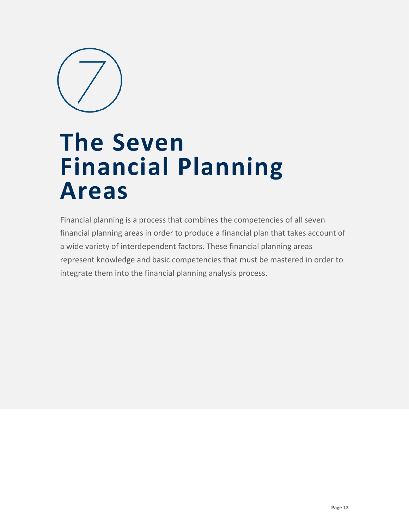

# **The Seven Financial Planning Areas**

Financial planning is a process that combines the competencies of all seven financial planning areas in order to produce a financial plan that takes account of a wide variety of interdependent factors. These financial planning areas represent knowledge and basic competencies that must be mastered in order to integrate them into the financial planning analysis process.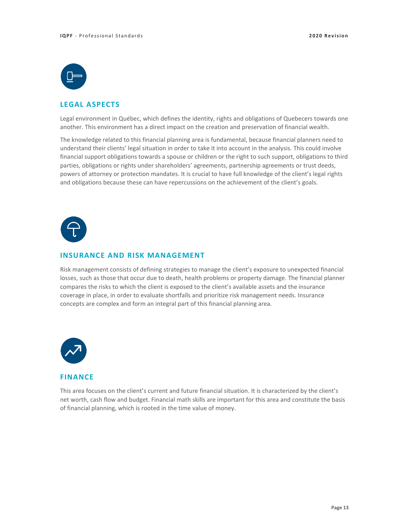

# **LEGAL ASPECTS**

Legal environment in Québec, which defines the identity, rights and obligations of Quebecers towards one another. This environment has a direct impact on the creation and preservation of financial wealth.

The knowledge related to this financial planning area is fundamental, because financial planners need to understand their clients' legal situation in order to take it into account in the analysis. This could involve financial support obligations towards a spouse or children or the right to such support, obligations to third parties, obligations or rights under shareholders' agreements, partnership agreements or trust deeds, powers of attorney or protection mandates. It is crucial to have full knowledge of the client's legal rights and obligations because these can have repercussions on the achievement of the client's goals.



#### **INSURANCE AND RISK MANAGEMENT**

Risk management consists of defining strategies to manage the client's exposure to unexpected financial losses, such as those that occur due to death, health problems or property damage. The financial planner compares the risks to which the client is exposed to the client's available assets and the insurance coverage in place, in order to evaluate shortfalls and prioritize risk management needs. Insurance concepts are complex and form an integral part of this financial planning area.



#### **FINANCE**

This area focuses on the client's current and future financial situation. It is characterized by the client's net worth, cash flow and budget. Financial math skills are important for this area and constitute the basis of financial planning, which is rooted in the time value of money.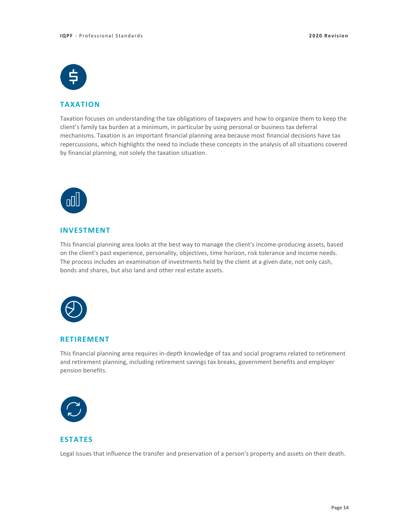

# **TAXATION**

Taxation focuses on understanding the tax obligations of taxpayers and how to organize them to keep the client's family tax burden at a minimum, in particular by using personal or business tax deferral mechanisms. Taxation is an important financial planning area because most financial decisions have tax repercussions, which highlights the need to include these concepts in the analysis of all situations covered by financial planning, not solely the taxation situation.



# **INVESTMENT**

This financial planning area looks at the best way to manage the client's income-producing assets, based on the client's past experience, personality, objectives, time horizon, risk tolerance and income needs. The process includes an examination of investments held by the client at a given date, not only cash, bonds and shares, but also land and other real estate assets.



## **RETIREMENT**

This financial planning area requires in-depth knowledge of tax and social programs related to retirement and retirement planning, including retirement savings tax breaks, government benefits and employer pension benefits.



# **ESTATES**

Legal issues that influence the transfer and preservation of a person's property and assets on their death.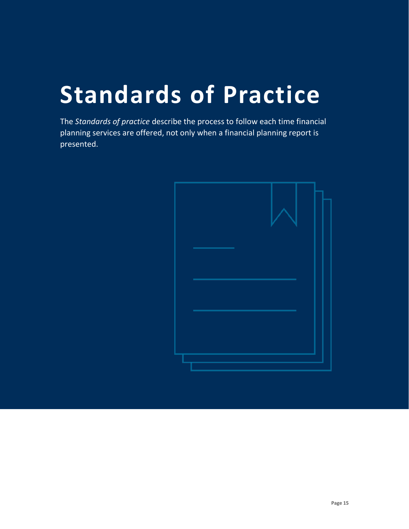# **Standards of Practice**

The *Standards of practice* describe the process to follow each time financial planning services are offered, not only when a financial planning report is presented.

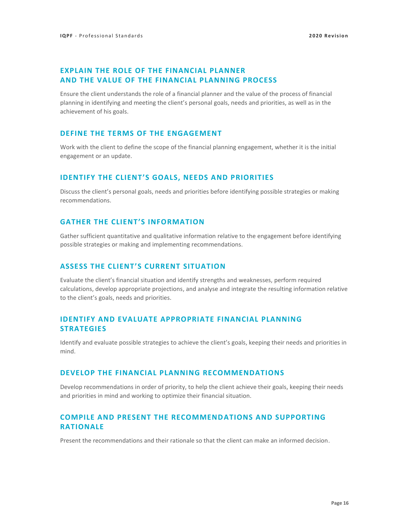# **EXPLAIN THE ROLE OF THE FINANCIAL PLANNER AND THE VALUE OF THE FINANCIAL PLANNING PROCESS**

Ensure the client understands the role of a financial planner and the value of the process of financial planning in identifying and meeting the client's personal goals, needs and priorities, as well as in the achievement of his goals.

#### **DEFINE THE TERMS OF THE ENGAGEMENT**

Work with the client to define the scope of the financial planning engagement, whether it is the initial engagement or an update.

#### **IDENTIFY THE CLIENT'S GOALS, NEEDS AND PRIORITIES**

Discuss the client's personal goals, needs and priorities before identifying possible strategies or making recommendations.

# **GATHER THE CLIENT'S INFORMATION**

Gather sufficient quantitative and qualitative information relative to the engagement before identifying possible strategies or making and implementing recommendations.

## **ASSESS THE CLIENT'S CURRENT SITUATION**

Evaluate the client's financial situation and identify strengths and weaknesses, perform required calculations, develop appropriate projections, and analyse and integrate the resulting information relative to the client's goals, needs and priorities.

# **IDENTIFY AND EVALUATE APPROPRIATE FINANCIAL PLANNING STRATEGIES**

Identify and evaluate possible strategies to achieve the client's goals, keeping their needs and priorities in mind.

#### **DEVELOP THE FINANCIAL PLANNING RECOMMENDATIONS**

Develop recommendations in order of priority, to help the client achieve their goals, keeping their needs and priorities in mind and working to optimize their financial situation.

# **COMPILE AND PRESENT THE RECOMMENDATIONS AND SUPPORTING RATIONALE**

Present the recommendations and their rationale so that the client can make an informed decision.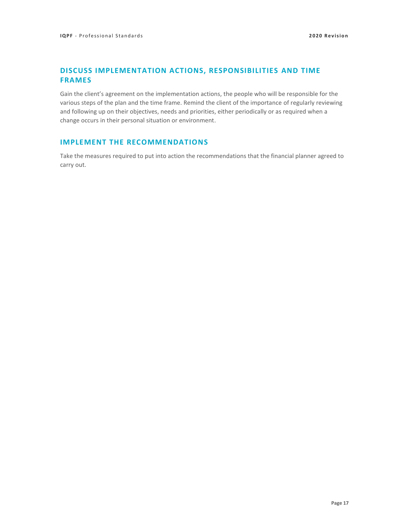# **DISCUSS IMPLEMENTATION ACTIONS, RESPONSIBILITIES AND TIME FRAMES**

Gain the client's agreement on the implementation actions, the people who will be responsible for the various steps of the plan and the time frame. Remind the client of the importance of regularly reviewing and following up on their objectives, needs and priorities, either periodically or as required when a change occurs in their personal situation or environment.

#### **IMPLEMENT THE RECOMMENDATIONS**

Take the measures required to put into action the recommendations that the financial planner agreed to carry out.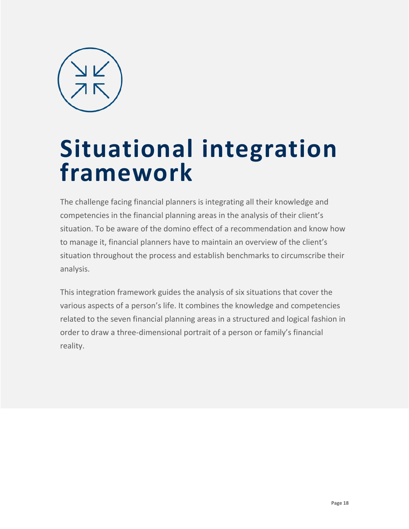

# **Situational integration framework**

The challenge facing financial planners is integrating all their knowledge and competencies in the financial planning areas in the analysis of their client's situation. To be aware of the domino effect of a recommendation and know how to manage it, financial planners have to maintain an overview of the client's situation throughout the process and establish benchmarks to circumscribe their analysis.

This integration framework guides the analysis of six situations that cover the various aspects of a person's life. It combines the knowledge and competencies related to the seven financial planning areas in a structured and logical fashion in order to draw a three-dimensional portrait of a person or family's financial reality.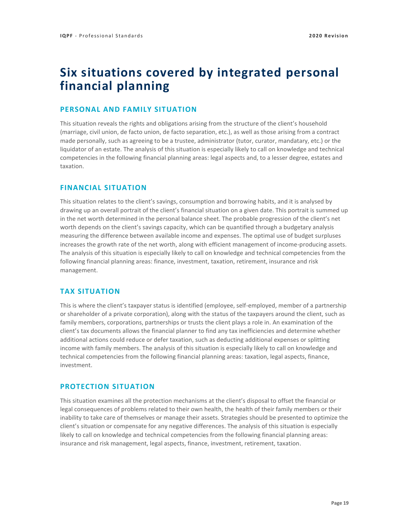# **Six situations covered by integrated personal financial planning**

## **PERSONAL AND FAMILY SITUATION**

This situation reveals the rights and obligations arising from the structure of the client's household (marriage, civil union, de facto union, de facto separation, etc.), as well as those arising from a contract made personally, such as agreeing to be a trustee, administrator (tutor, curator, mandatary, etc.) or the liquidator of an estate. The analysis of this situation is especially likely to call on knowledge and technical competencies in the following financial planning areas: legal aspects and, to a lesser degree, estates and taxation.

#### **FINANCIAL SITUATION**

This situation relates to the client's savings, consumption and borrowing habits, and it is analysed by drawing up an overall portrait of the client's financial situation on a given date. This portrait is summed up in the net worth determined in the personal balance sheet. The probable progression of the client's net worth depends on the client's savings capacity, which can be quantified through a budgetary analysis measuring the difference between available income and expenses. The optimal use of budget surpluses increases the growth rate of the net worth, along with efficient management of income-producing assets. The analysis of this situation is especially likely to call on knowledge and technical competencies from the following financial planning areas: finance, investment, taxation, retirement, insurance and risk management.

## **TAX SITUATION**

This is where the client's taxpayer status is identified (employee, self-employed, member of a partnership or shareholder of a private corporation), along with the status of the taxpayers around the client, such as family members, corporations, partnerships or trusts the client plays a role in. An examination of the client's tax documents allows the financial planner to find any tax inefficiencies and determine whether additional actions could reduce or defer taxation, such as deducting additional expenses or splitting income with family members. The analysis of this situation is especially likely to call on knowledge and technical competencies from the following financial planning areas: taxation, legal aspects, finance, investment.

#### **PROTECTION SITUATION**

This situation examines all the protection mechanisms at the client's disposal to offset the financial or legal consequences of problems related to their own health, the health of their family members or their inability to take care of themselves or manage their assets. Strategies should be presented to optimize the client's situation or compensate for any negative differences. The analysis of this situation is especially likely to call on knowledge and technical competencies from the following financial planning areas: insurance and risk management, legal aspects, finance, investment, retirement, taxation.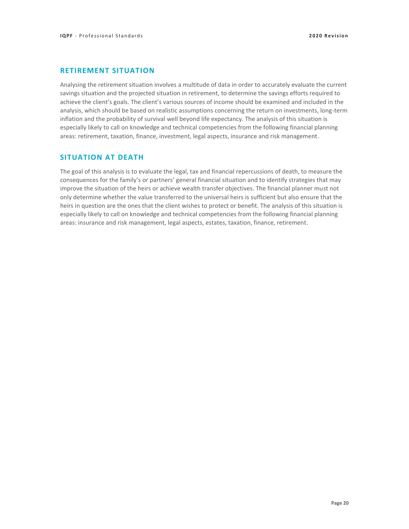#### **RETIREMENT SITUATION**

Analysing the retirement situation involves a multitude of data in order to accurately evaluate the current savings situation and the projected situation in retirement, to determine the savings efforts required to achieve the client's goals. The client's various sources of income should be examined and included in the analysis, which should be based on realistic assumptions concerning the return on investments, long-term inflation and the probability of survival well beyond life expectancy. The analysis of this situation is especially likely to call on knowledge and technical competencies from the following financial planning areas: retirement, taxation, finance, investment, legal aspects, insurance and risk management.

### **SITUATION AT DEATH**

The goal of this analysis is to evaluate the legal, tax and financial repercussions of death, to measure the consequences for the family's or partners' general financial situation and to identify strategies that may improve the situation of the heirs or achieve wealth transfer objectives. The financial planner must not only determine whether the value transferred to the universal heirs is sufficient but also ensure that the heirs in question are the ones that the client wishes to protect or benefit. The analysis of this situation is especially likely to call on knowledge and technical competencies from the following financial planning areas: insurance and risk management, legal aspects, estates, taxation, finance, retirement.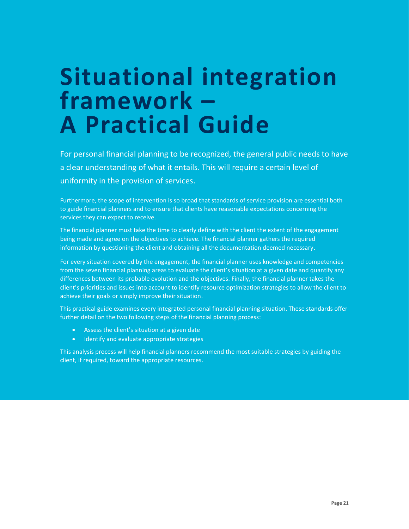# **Situational integration framework – A Practical Guide**

For personal financial planning to be recognized, the general public needs to have a clear understanding of what it entails. This will require a certain level of uniformity in the provision of services.

Furthermore, the scope of intervention is so broad that standards of service provision are essential both to guide financial planners and to ensure that clients have reasonable expectations concerning the services they can expect to receive.

The financial planner must take the time to clearly define with the client the extent of the engagement being made and agree on the objectives to achieve. The financial planner gathers the required information by questioning the client and obtaining all the documentation deemed necessary.

For every situation covered by the engagement, the financial planner uses knowledge and competencies from the seven financial planning areas to evaluate the client's situation at a given date and quantify any differences between its probable evolution and the objectives. Finally, the financial planner takes the client's priorities and issues into account to identify resource optimization strategies to allow the client to achieve their goals or simply improve their situation.

This practical guide examines every integrated personal financial planning situation. These standards offer further detail on the two following steps of the financial planning process:

- Assess the client's situation at a given date
- Identify and evaluate appropriate strategies

This analysis process will help financial planners recommend the most suitable strategies by guiding the client, if required, toward the appropriate resources.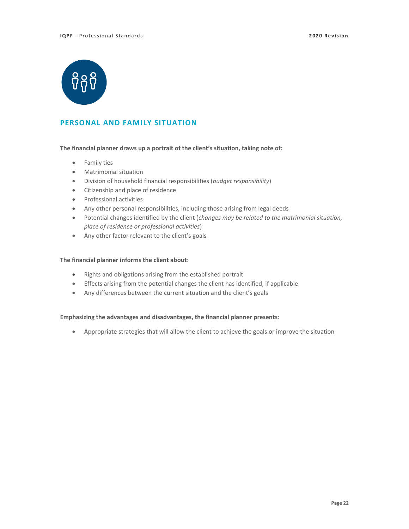

# **PERSONAL AND FAMILY SITUATION**

#### **The financial planner draws up a portrait of the client's situation, taking note of:**

- Family ties
- Matrimonial situation
- Division of household financial responsibilities (*budget responsibility*)
- Citizenship and place of residence
- Professional activities
- Any other personal responsibilities, including those arising from legal deeds
- Potential changes identified by the client (*changes may be related to the matrimonial situation, place of residence or professional activities*)
- Any other factor relevant to the client's goals

#### **The financial planner informs the client about:**

- Rights and obligations arising from the established portrait
- Effects arising from the potential changes the client has identified, if applicable
- Any differences between the current situation and the client's goals

#### **Emphasizing the advantages and disadvantages, the financial planner presents:**

• Appropriate strategies that will allow the client to achieve the goals or improve the situation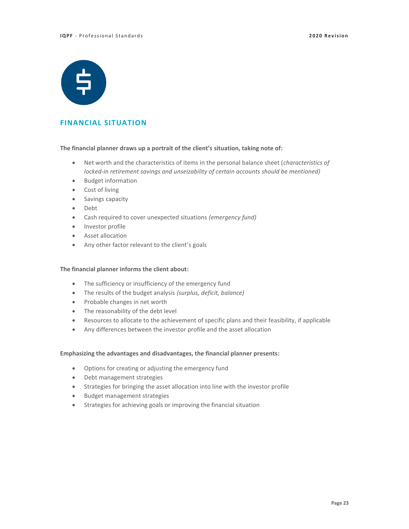

# **FINANCIAL SITUATION**

#### **The financial planner draws up a portrait of the client's situation, taking note of:**

- Net worth and the characteristics of items in the personal balance sheet (*characteristics of locked-in retirement savings and unseizability of certain accounts should be mentioned)*
- Budget information
- Cost of living
- Savings capacity
- Debt
- Cash required to cover unexpected situations *(emergency fund)*
- Investor profile
- Asset allocation
- Any other factor relevant to the client's goals

#### **The financial planner informs the client about:**

- The sufficiency or insufficiency of the emergency fund
- The results of the budget analysis *(surplus, deficit, balance)*
- Probable changes in net worth
- The reasonability of the debt level
- Resources to allocate to the achievement of specific plans and their feasibility, if applicable
- Any differences between the investor profile and the asset allocation

- Options for creating or adjusting the emergency fund
- Debt management strategies
- Strategies for bringing the asset allocation into line with the investor profile
- Budget management strategies
- Strategies for achieving goals or improving the financial situation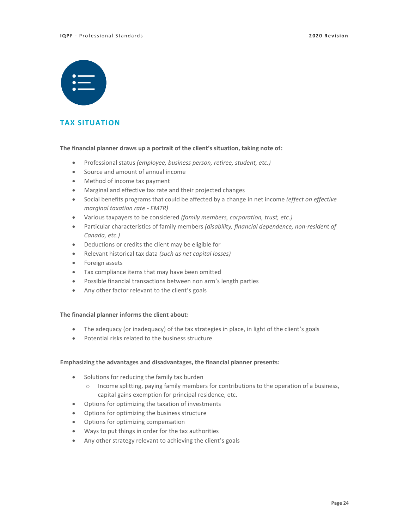

# **TAX SITUATION**

#### **The financial planner draws up a portrait of the client's situation, taking note of:**

- Professional status *(employee, business person, retiree, student, etc.)*
- Source and amount of annual income
- Method of income tax payment
- Marginal and effective tax rate and their projected changes
- Social benefits programs that could be affected by a change in net income *(effect on effective marginal taxation rate - EMTR)*
- Various taxpayers to be considered *(family members, corporation, trust, etc.)*
- Particular characteristics of family members *(disability, financial dependence, non-resident of Canada, etc.)*
- Deductions or credits the client may be eligible for
- Relevant historical tax data *(such as net capital losses)*
- Foreign assets
- Tax compliance items that may have been omitted
- Possible financial transactions between non arm's length parties
- Any other factor relevant to the client's goals

#### **The financial planner informs the client about:**

- The adequacy (or inadequacy) of the tax strategies in place, in light of the client's goals
- Potential risks related to the business structure

- Solutions for reducing the family tax burden
	- o Income splitting, paying family members for contributions to the operation of a business, capital gains exemption for principal residence, etc.
- Options for optimizing the taxation of investments
- Options for optimizing the business structure
- Options for optimizing compensation
- Ways to put things in order for the tax authorities
- Any other strategy relevant to achieving the client's goals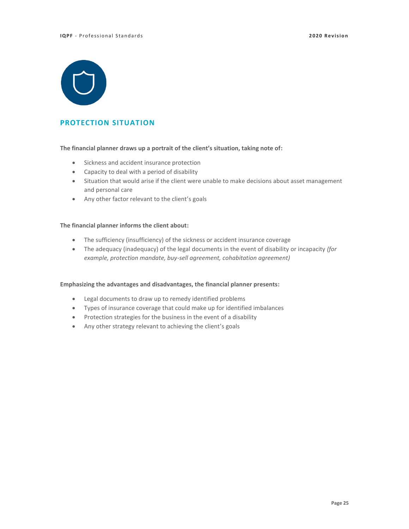

# **PROTECTION SITUATION**

#### **The financial planner draws up a portrait of the client's situation, taking note of:**

- Sickness and accident insurance protection
- Capacity to deal with a period of disability
- Situation that would arise if the client were unable to make decisions about asset management and personal care
- Any other factor relevant to the client's goals

#### **The financial planner informs the client about:**

- The sufficiency (insufficiency) of the sickness or accident insurance coverage
- The adequacy (inadequacy) of the legal documents in the event of disability or incapacity *(for example, protection mandate, buy-sell agreement, cohabitation agreement)*

- Legal documents to draw up to remedy identified problems
- Types of insurance coverage that could make up for identified imbalances
- Protection strategies for the business in the event of a disability
- Any other strategy relevant to achieving the client's goals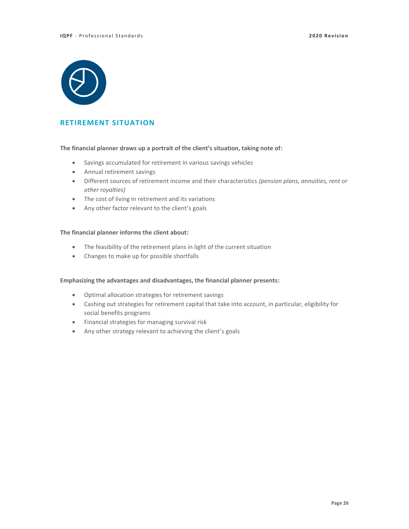

# **RETIREMENT SITUATION**

#### **The financial planner draws up a portrait of the client's situation, taking note of:**

- Savings accumulated for retirement in various savings vehicles
- Annual retirement savings
- Different sources of retirement income and their characteristics *(pension plans, annuities, rent or other royalties)*
- The cost of living in retirement and its variations
- Any other factor relevant to the client's goals

#### **The financial planner informs the client about:**

- The feasibility of the retirement plans in light of the current situation
- Changes to make up for possible shortfalls

- Optimal allocation strategies for retirement savings
- Cashing out strategies for retirement capital that take into account, in particular, eligibility for social benefits programs
- Financial strategies for managing survival risk
- Any other strategy relevant to achieving the client's goals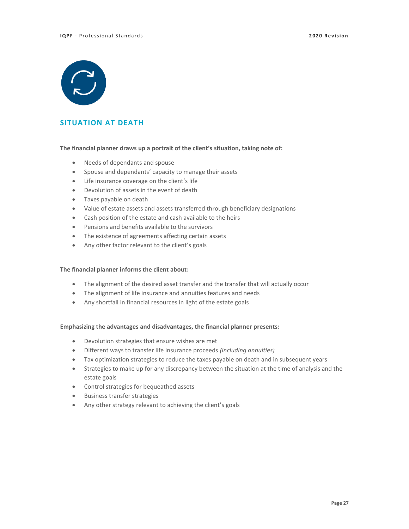

# **SITUATION AT DEATH**

#### **The financial planner draws up a portrait of the client's situation, taking note of:**

- Needs of dependants and spouse
- Spouse and dependants' capacity to manage their assets
- Life insurance coverage on the client's life
- Devolution of assets in the event of death
- Taxes payable on death
- Value of estate assets and assets transferred through beneficiary designations
- Cash position of the estate and cash available to the heirs
- Pensions and benefits available to the survivors
- The existence of agreements affecting certain assets
- Any other factor relevant to the client's goals

#### **The financial planner informs the client about:**

- The alignment of the desired asset transfer and the transfer that will actually occur
- The alignment of life insurance and annuities features and needs
- Any shortfall in financial resources in light of the estate goals

- Devolution strategies that ensure wishes are met
- Different ways to transfer life insurance proceeds *(including annuities)*
- Tax optimization strategies to reduce the taxes payable on death and in subsequent years
- Strategies to make up for any discrepancy between the situation at the time of analysis and the estate goals
- Control strategies for bequeathed assets
- Business transfer strategies
- Any other strategy relevant to achieving the client's goals